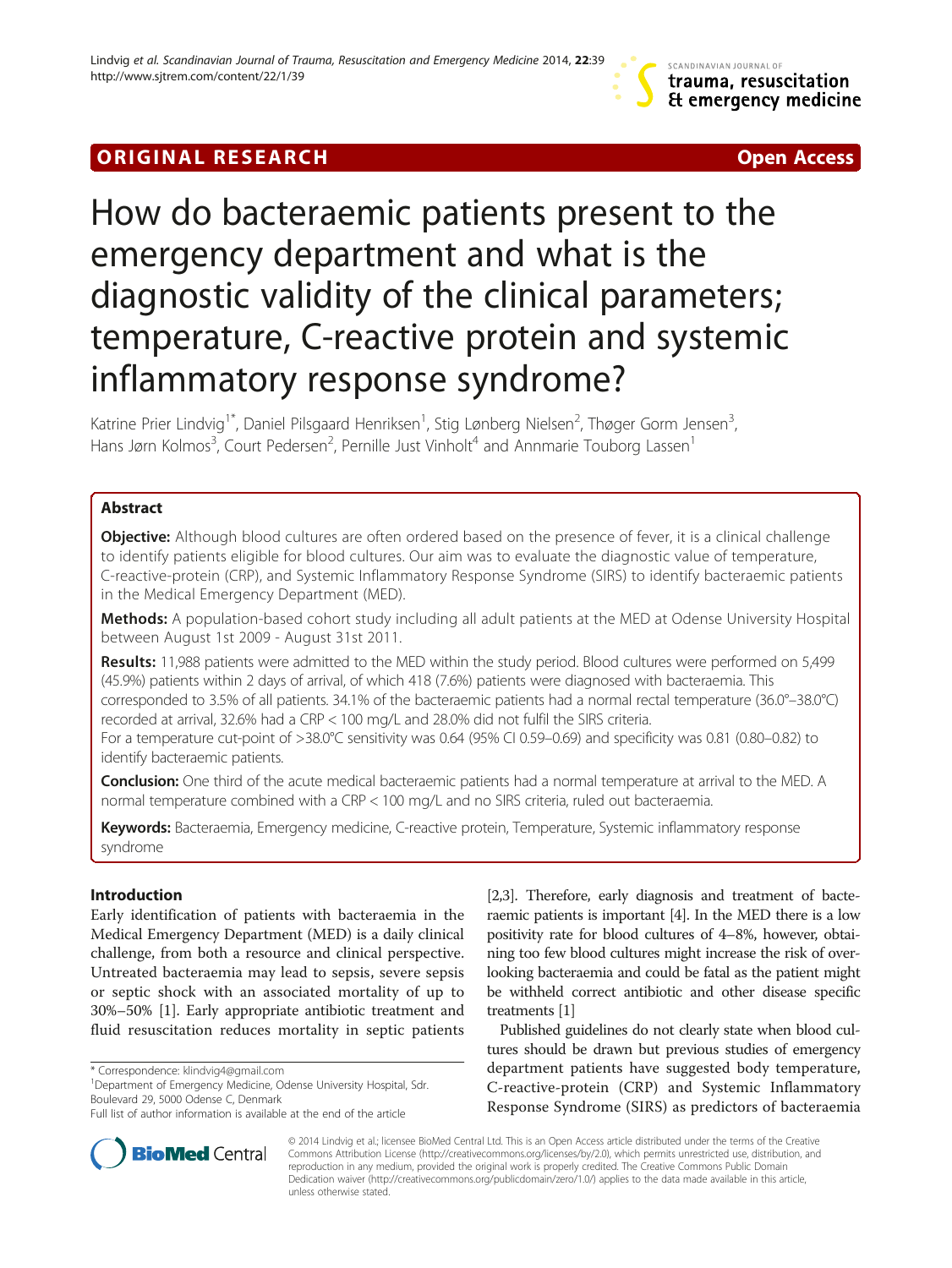# **ORIGINAL RESEARCH CONSUMING A RESEARCH CONSUMING A RESEARCH**

# How do bacteraemic patients present to the emergency department and what is the diagnostic validity of the clinical parameters; temperature, C-reactive protein and systemic inflammatory response syndrome?

Katrine Prier Lindvig<sup>1\*</sup>, Daniel Pilsgaard Henriksen<sup>1</sup>, Stig Lønberg Nielsen<sup>2</sup>, Thøger Gorm Jensen<sup>3</sup> , Hans Jørn Kolmos<sup>3</sup>, Court Pedersen<sup>2</sup>, Pernille Just Vinholt<sup>4</sup> and Annmarie Touborg Lassen<sup>1</sup>

# Abstract

**Objective:** Although blood cultures are often ordered based on the presence of fever, it is a clinical challenge to identify patients eligible for blood cultures. Our aim was to evaluate the diagnostic value of temperature, C-reactive-protein (CRP), and Systemic Inflammatory Response Syndrome (SIRS) to identify bacteraemic patients in the Medical Emergency Department (MED).

Methods: A population-based cohort study including all adult patients at the MED at Odense University Hospital between August 1st 2009 - August 31st 2011.

Results: 11,988 patients were admitted to the MED within the study period. Blood cultures were performed on 5,499 (45.9%) patients within 2 days of arrival, of which 418 (7.6%) patients were diagnosed with bacteraemia. This corresponded to 3.5% of all patients. 34.1% of the bacteraemic patients had a normal rectal temperature (36.0°–38.0°C) recorded at arrival, 32.6% had a CRP < 100 mg/L and 28.0% did not fulfil the SIRS criteria.

For a temperature cut-point of >38.0°C sensitivity was 0.64 (95% CI 0.59–0.69) and specificity was 0.81 (0.80–0.82) to identify bacteraemic patients.

Conclusion: One third of the acute medical bacteraemic patients had a normal temperature at arrival to the MED. A normal temperature combined with a CRP < 100 mg/L and no SIRS criteria, ruled out bacteraemia.

Keywords: Bacteraemia, Emergency medicine, C-reactive protein, Temperature, Systemic inflammatory response syndrome

# Introduction

Early identification of patients with bacteraemia in the Medical Emergency Department (MED) is a daily clinical challenge, from both a resource and clinical perspective. Untreated bacteraemia may lead to sepsis, severe sepsis or septic shock with an associated mortality of up to 30%–50% [\[1](#page-7-0)]. Early appropriate antibiotic treatment and fluid resuscitation reduces mortality in septic patients

<sup>1</sup>Department of Emergency Medicine, Odense University Hospital, Sdr. Boulevard 29, 5000 Odense C, Denmark



Published guidelines do not clearly state when blood cultures should be drawn but previous studies of emergency department patients have suggested body temperature, C-reactive-protein (CRP) and Systemic Inflammatory Response Syndrome (SIRS) as predictors of bacteraemia



© 2014 Lindvig et al.; licensee BioMed Central Ltd. This is an Open Access article distributed under the terms of the Creative Commons Attribution License [\(http://creativecommons.org/licenses/by/2.0\)](http://creativecommons.org/licenses/by/2.0), which permits unrestricted use, distribution, and reproduction in any medium, provided the original work is properly credited. The Creative Commons Public Domain Dedication waiver [\(http://creativecommons.org/publicdomain/zero/1.0/](http://creativecommons.org/publicdomain/zero/1.0/)) applies to the data made available in this article, unless otherwise stated.

<sup>\*</sup> Correspondence: [klindvig4@gmail.com](mailto:klindvig4@gmail.com) <sup>1</sup>

Full list of author information is available at the end of the article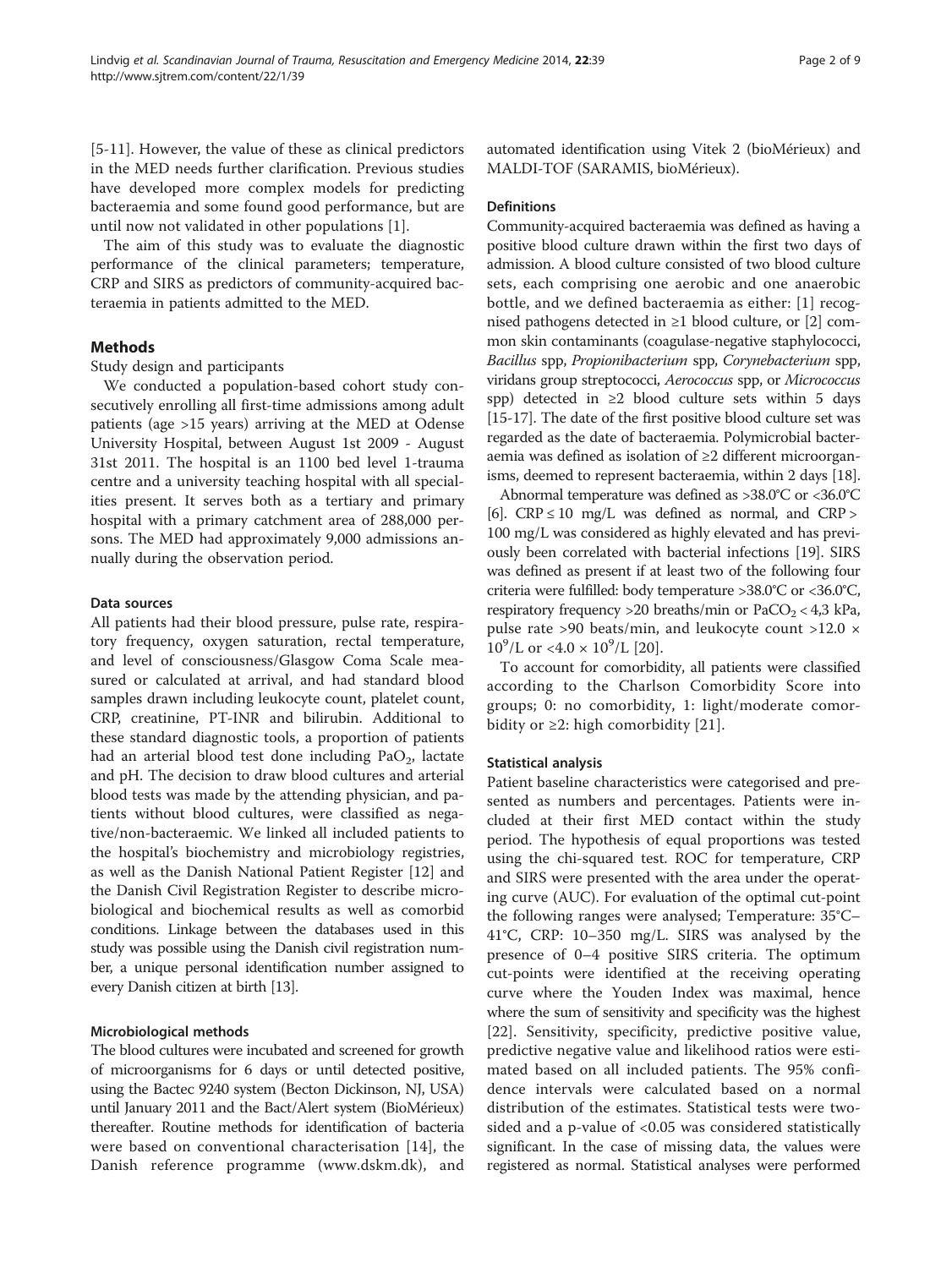[[5-11\]](#page-7-0). However, the value of these as clinical predictors in the MED needs further clarification. Previous studies have developed more complex models for predicting bacteraemia and some found good performance, but are until now not validated in other populations [[1\]](#page-7-0).

The aim of this study was to evaluate the diagnostic performance of the clinical parameters; temperature, CRP and SIRS as predictors of community-acquired bacteraemia in patients admitted to the MED.

# Methods

Study design and participants

We conducted a population-based cohort study consecutively enrolling all first-time admissions among adult patients (age >15 years) arriving at the MED at Odense University Hospital, between August 1st 2009 - August 31st 2011. The hospital is an 1100 bed level 1-trauma centre and a university teaching hospital with all specialities present. It serves both as a tertiary and primary hospital with a primary catchment area of 288,000 persons. The MED had approximately 9,000 admissions annually during the observation period.

#### Data sources

All patients had their blood pressure, pulse rate, respiratory frequency, oxygen saturation, rectal temperature, and level of consciousness/Glasgow Coma Scale measured or calculated at arrival, and had standard blood samples drawn including leukocyte count, platelet count, CRP, creatinine, PT-INR and bilirubin. Additional to these standard diagnostic tools, a proportion of patients had an arterial blood test done including  $PaO<sub>2</sub>$ , lactate and pH. The decision to draw blood cultures and arterial blood tests was made by the attending physician, and patients without blood cultures, were classified as negative/non-bacteraemic. We linked all included patients to the hospital's biochemistry and microbiology registries, as well as the Danish National Patient Register [[12\]](#page-7-0) and the Danish Civil Registration Register to describe microbiological and biochemical results as well as comorbid conditions. Linkage between the databases used in this study was possible using the Danish civil registration number, a unique personal identification number assigned to every Danish citizen at birth [\[13\]](#page-7-0).

# Microbiological methods

The blood cultures were incubated and screened for growth of microorganisms for 6 days or until detected positive, using the Bactec 9240 system (Becton Dickinson, NJ, USA) until January 2011 and the Bact/Alert system (BioMérieux) thereafter. Routine methods for identification of bacteria were based on conventional characterisation [\[14\]](#page-7-0), the Danish reference programme [\(www.dskm.dk](http://www.dskm.dk)), and

automated identification using Vitek 2 (bioMérieux) and MALDI-TOF (SARAMIS, bioMérieux).

### **Definitions**

Community-acquired bacteraemia was defined as having a positive blood culture drawn within the first two days of admission. A blood culture consisted of two blood culture sets, each comprising one aerobic and one anaerobic bottle, and we defined bacteraemia as either: [[1\]](#page-7-0) recognised pathogens detected in ≥1 blood culture, or [[2](#page-7-0)] common skin contaminants (coagulase-negative staphylococci, Bacillus spp, Propionibacterium spp, Corynebacterium spp, viridans group streptococci, Aerococcus spp, or Micrococcus spp) detected in ≥2 blood culture sets within 5 days [[15](#page-7-0)-[17\]](#page-7-0). The date of the first positive blood culture set was regarded as the date of bacteraemia. Polymicrobial bacteraemia was defined as isolation of ≥2 different microorganisms, deemed to represent bacteraemia, within 2 days [[18](#page-7-0)].

Abnormal temperature was defined as >38.0°C or <36.0°C [[6](#page-7-0)].  $CRP \le 10$  mg/L was defined as normal, and  $CRP >$ 100 mg/L was considered as highly elevated and has previously been correlated with bacterial infections [[19](#page-7-0)]. SIRS was defined as present if at least two of the following four criteria were fulfilled: body temperature >38.0°C or <36.0°C, respiratory frequency >20 breaths/min or  $PaCO<sub>2</sub> < 4,3$  kPa, pulse rate >90 beats/min, and leukocyte count >12.0 ×  $10^9$ /L or <4.0 ×  $10^9$ /L [[20\]](#page-7-0).

To account for comorbidity, all patients were classified according to the Charlson Comorbidity Score into groups; 0: no comorbidity, 1: light/moderate comorbidity or  $\geq$ 2: high comorbidity [[21](#page-7-0)].

## Statistical analysis

Patient baseline characteristics were categorised and presented as numbers and percentages. Patients were included at their first MED contact within the study period. The hypothesis of equal proportions was tested using the chi-squared test. ROC for temperature, CRP and SIRS were presented with the area under the operating curve (AUC). For evaluation of the optimal cut-point the following ranges were analysed; Temperature: 35°C– 41°C, CRP: 10–350 mg/L. SIRS was analysed by the presence of 0–4 positive SIRS criteria. The optimum cut-points were identified at the receiving operating curve where the Youden Index was maximal, hence where the sum of sensitivity and specificity was the highest [[22](#page-7-0)]. Sensitivity, specificity, predictive positive value, predictive negative value and likelihood ratios were estimated based on all included patients. The 95% confidence intervals were calculated based on a normal distribution of the estimates. Statistical tests were twosided and a p-value of <0.05 was considered statistically significant. In the case of missing data, the values were registered as normal. Statistical analyses were performed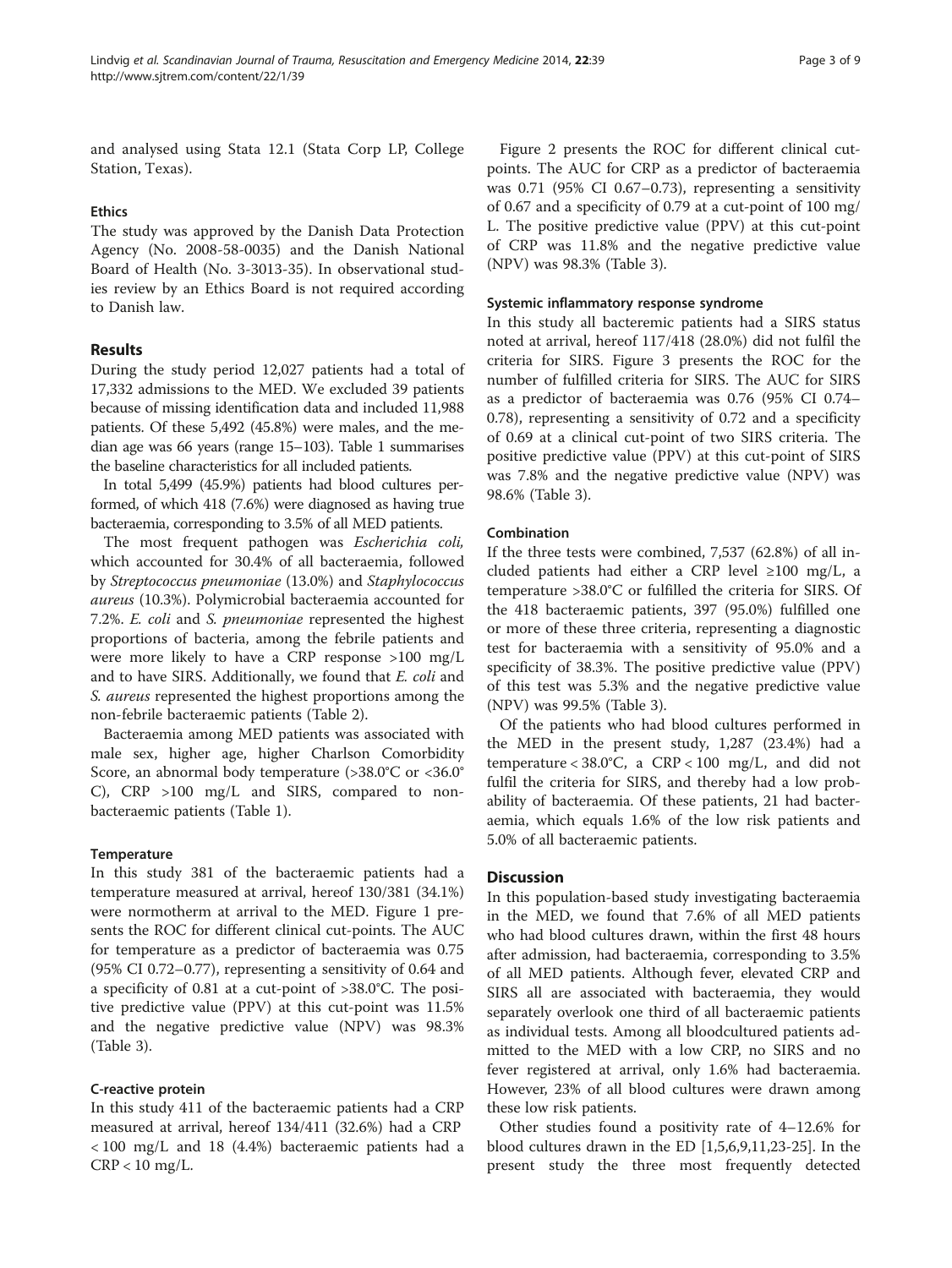and analysed using Stata 12.1 (Stata Corp LP, College Station, Texas).

# Ethics

The study was approved by the Danish Data Protection Agency (No. 2008-58-0035) and the Danish National Board of Health (No. 3-3013-35). In observational studies review by an Ethics Board is not required according to Danish law.

# Results

During the study period 12,027 patients had a total of 17,332 admissions to the MED. We excluded 39 patients because of missing identification data and included 11,988 patients. Of these 5,492 (45.8%) were males, and the median age was 66 years (range 15–103). Table [1](#page-3-0) summarises the baseline characteristics for all included patients.

In total 5,499 (45.9%) patients had blood cultures performed, of which 418 (7.6%) were diagnosed as having true bacteraemia, corresponding to 3.5% of all MED patients.

The most frequent pathogen was Escherichia coli, which accounted for 30.4% of all bacteraemia, followed by Streptococcus pneumoniae (13.0%) and Staphylococcus aureus (10.3%). Polymicrobial bacteraemia accounted for 7.2%. E. coli and S. pneumoniae represented the highest proportions of bacteria, among the febrile patients and were more likely to have a CRP response >100 mg/L and to have SIRS. Additionally, we found that E. coli and S. aureus represented the highest proportions among the non-febrile bacteraemic patients (Table [2](#page-4-0)).

Bacteraemia among MED patients was associated with male sex, higher age, higher Charlson Comorbidity Score, an abnormal body temperature (>38.0°C or <36.0° C), CRP >100 mg/L and SIRS, compared to nonbacteraemic patients (Table [1](#page-3-0)).

## **Temperature**

In this study 381 of the bacteraemic patients had a temperature measured at arrival, hereof 130/381 (34.1%) were normotherm at arrival to the MED. Figure [1](#page-5-0) presents the ROC for different clinical cut-points. The AUC for temperature as a predictor of bacteraemia was 0.75 (95% CI 0.72–0.77), representing a sensitivity of 0.64 and a specificity of 0.81 at a cut-point of >38.0°C. The positive predictive value (PPV) at this cut-point was 11.5% and the negative predictive value (NPV) was 98.3% (Table [3\)](#page-5-0).

## C-reactive protein

In this study 411 of the bacteraemic patients had a CRP measured at arrival, hereof 134/411 (32.6%) had a CRP < 100 mg/L and 18 (4.4%) bacteraemic patients had a  $CRP < 10$  mg/L.

Figure [2](#page-6-0) presents the ROC for different clinical cutpoints. The AUC for CRP as a predictor of bacteraemia was 0.71 (95% CI 0.67–0.73), representing a sensitivity of 0.67 and a specificity of 0.79 at a cut-point of 100 mg/ L. The positive predictive value (PPV) at this cut-point of CRP was 11.8% and the negative predictive value (NPV) was 98.3% (Table [3](#page-5-0)).

## Systemic inflammatory response syndrome

In this study all bacteremic patients had a SIRS status noted at arrival, hereof 117/418 (28.0%) did not fulfil the criteria for SIRS. Figure [3](#page-6-0) presents the ROC for the number of fulfilled criteria for SIRS. The AUC for SIRS as a predictor of bacteraemia was 0.76 (95% CI 0.74– 0.78), representing a sensitivity of 0.72 and a specificity of 0.69 at a clinical cut-point of two SIRS criteria. The positive predictive value (PPV) at this cut-point of SIRS was 7.8% and the negative predictive value (NPV) was 98.6% (Table [3\)](#page-5-0).

# Combination

If the three tests were combined, 7,537 (62.8%) of all included patients had either a CRP level  $\geq 100$  mg/L, a temperature >38.0°C or fulfilled the criteria for SIRS. Of the 418 bacteraemic patients, 397 (95.0%) fulfilled one or more of these three criteria, representing a diagnostic test for bacteraemia with a sensitivity of 95.0% and a specificity of 38.3%. The positive predictive value (PPV) of this test was 5.3% and the negative predictive value (NPV) was 99.5% (Table [3](#page-5-0)).

Of the patients who had blood cultures performed in the MED in the present study, 1,287 (23.4%) had a temperature <  $38.0^{\circ}$ C, a CRP <  $100$  mg/L, and did not fulfil the criteria for SIRS, and thereby had a low probability of bacteraemia. Of these patients, 21 had bacteraemia, which equals 1.6% of the low risk patients and 5.0% of all bacteraemic patients.

# **Discussion**

In this population-based study investigating bacteraemia in the MED, we found that 7.6% of all MED patients who had blood cultures drawn, within the first 48 hours after admission, had bacteraemia, corresponding to 3.5% of all MED patients. Although fever, elevated CRP and SIRS all are associated with bacteraemia, they would separately overlook one third of all bacteraemic patients as individual tests. Among all bloodcultured patients admitted to the MED with a low CRP, no SIRS and no fever registered at arrival, only 1.6% had bacteraemia. However, 23% of all blood cultures were drawn among these low risk patients.

Other studies found a positivity rate of 4–12.6% for blood cultures drawn in the ED [[1,5,6,9,11](#page-7-0)[,23-25](#page-8-0)]. In the present study the three most frequently detected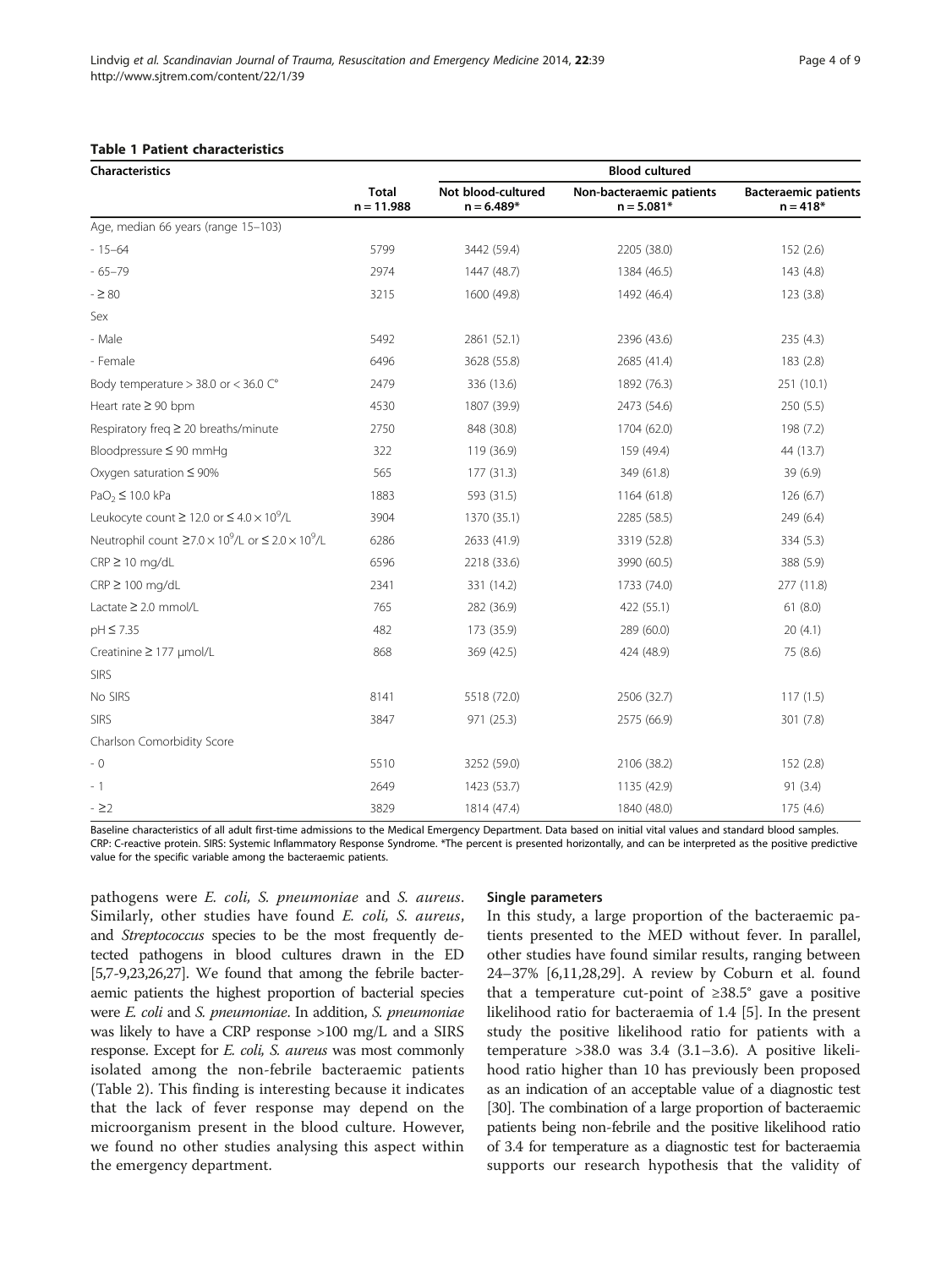#### <span id="page-3-0"></span>Table 1 Patient characteristics

| <b>Characteristics</b>                                                              |                              | <b>Blood cultured</b>              |                                          |                                           |  |  |
|-------------------------------------------------------------------------------------|------------------------------|------------------------------------|------------------------------------------|-------------------------------------------|--|--|
|                                                                                     | <b>Total</b><br>$n = 11.988$ | Not blood-cultured<br>$n = 6.489*$ | Non-bacteraemic patients<br>$n = 5.081*$ | <b>Bacteraemic patients</b><br>$n = 418*$ |  |  |
| Age, median 66 years (range 15-103)                                                 |                              |                                    |                                          |                                           |  |  |
| $-15 - 64$                                                                          | 5799                         | 3442 (59.4)                        | 2205 (38.0)                              | 152(2.6)                                  |  |  |
| $-65 - 79$                                                                          | 2974                         | 1447 (48.7)                        | 1384 (46.5)                              | 143 (4.8)                                 |  |  |
| $-280$                                                                              | 3215                         | 1600 (49.8)                        | 1492 (46.4)                              | 123(3.8)                                  |  |  |
| Sex                                                                                 |                              |                                    |                                          |                                           |  |  |
| - Male                                                                              | 5492                         | 2861 (52.1)                        | 2396 (43.6)                              | 235(4.3)                                  |  |  |
| - Female                                                                            | 6496                         | 3628 (55.8)                        | 2685 (41.4)                              | 183 (2.8)                                 |  |  |
| Body temperature $>$ 38.0 or < 36.0 $C^{\circ}$                                     | 2479                         | 336 (13.6)                         | 1892 (76.3)                              | 251 (10.1)                                |  |  |
| Heart rate $\geq 90$ bpm                                                            | 4530                         | 1807 (39.9)                        | 2473 (54.6)                              | 250(5.5)                                  |  |  |
| Respiratory freq $\geq$ 20 breaths/minute                                           | 2750                         | 848 (30.8)                         | 1704 (62.0)                              | 198 (7.2)                                 |  |  |
| Bloodpressure ≤ 90 mmHq                                                             | 322                          | 119 (36.9)                         | 159 (49.4)                               | 44 (13.7)                                 |  |  |
| Oxygen saturation $\leq 90\%$                                                       | 565                          | 177 (31.3)                         | 349 (61.8)                               | 39(6.9)                                   |  |  |
| $PaO2 \le 10.0$ kPa                                                                 | 1883                         | 593 (31.5)                         | 1164 (61.8)                              | 126(6.7)                                  |  |  |
| Leukocyte count $\geq$ 12.0 or $\leq$ 4.0 $\times$ 10 <sup>9</sup> /L               | 3904                         | 1370 (35.1)                        | 2285 (58.5)                              | 249 (6.4)                                 |  |  |
| Neutrophil count $\geq$ 7.0 × 10 <sup>9</sup> /L or $\leq$ 2.0 × 10 <sup>9</sup> /L | 6286                         | 2633 (41.9)                        | 3319 (52.8)                              | 334 (5.3)                                 |  |  |
| $CRP \ge 10$ mg/dL                                                                  | 6596                         | 2218 (33.6)                        | 3990 (60.5)                              | 388 (5.9)                                 |  |  |
| $CRP \ge 100$ mg/dL                                                                 | 2341                         | 331 (14.2)                         | 1733 (74.0)                              | 277 (11.8)                                |  |  |
| Lactate $\geq$ 2.0 mmol/L                                                           | 765                          | 282 (36.9)                         | 422 (55.1)                               | 61(8.0)                                   |  |  |
| $pH \leq 7.35$                                                                      | 482                          | 173 (35.9)                         | 289 (60.0)                               | 20(4.1)                                   |  |  |
| Creatinine ≥ 177 µmol/L                                                             | 868                          | 369 (42.5)                         | 424 (48.9)                               | 75 (8.6)                                  |  |  |
| <b>SIRS</b>                                                                         |                              |                                    |                                          |                                           |  |  |
| No SIRS                                                                             | 8141                         | 5518 (72.0)                        | 2506 (32.7)                              | 117(1.5)                                  |  |  |
| <b>SIRS</b>                                                                         | 3847                         | 971 (25.3)                         | 2575 (66.9)                              | 301 (7.8)                                 |  |  |
| Charlson Comorbidity Score                                                          |                              |                                    |                                          |                                           |  |  |
| - 0                                                                                 | 5510                         | 3252 (59.0)                        | 2106 (38.2)                              | 152(2.8)                                  |  |  |
| $-1$                                                                                | 2649                         | 1423 (53.7)                        | 1135 (42.9)                              | 91(3.4)                                   |  |  |
| $-22$                                                                               | 3829                         | 1814 (47.4)                        | 1840 (48.0)                              | 175 (4.6)                                 |  |  |

Baseline characteristics of all adult first-time admissions to the Medical Emergency Department. Data based on initial vital values and standard blood samples. CRP: C-reactive protein. SIRS: Systemic Inflammatory Response Syndrome. \*The percent is presented horizontally, and can be interpreted as the positive predictive value for the specific variable among the bacteraemic patients.

pathogens were *E. coli*, *S. pneumoniae* and *S. aureus*. Similarly, other studies have found *E. coli*, *S. aureus*, and Streptococcus species to be the most frequently detected pathogens in blood cultures drawn in the ED [[5,7-9](#page-7-0)[,23,26,27](#page-8-0)]. We found that among the febrile bacteraemic patients the highest proportion of bacterial species were *E. coli* and *S. pneumoniae*. In addition, *S. pneumoniae* was likely to have a CRP response >100 mg/L and a SIRS response. Except for *E. coli, S. aureus* was most commonly isolated among the non-febrile bacteraemic patients (Table [2\)](#page-4-0). This finding is interesting because it indicates that the lack of fever response may depend on the microorganism present in the blood culture. However, we found no other studies analysing this aspect within the emergency department.

#### Single parameters

In this study, a large proportion of the bacteraemic patients presented to the MED without fever. In parallel, other studies have found similar results, ranging between 24–37% [[6,11,](#page-7-0)[28,29\]](#page-8-0). A review by Coburn et al. found that a temperature cut-point of  $≥38.5^\circ$  gave a positive likelihood ratio for bacteraemia of 1.4 [\[5\]](#page-7-0). In the present study the positive likelihood ratio for patients with a temperature >38.0 was 3.4 (3.1–3.6). A positive likelihood ratio higher than 10 has previously been proposed as an indication of an acceptable value of a diagnostic test [[30](#page-8-0)]. The combination of a large proportion of bacteraemic patients being non-febrile and the positive likelihood ratio of 3.4 for temperature as a diagnostic test for bacteraemia supports our research hypothesis that the validity of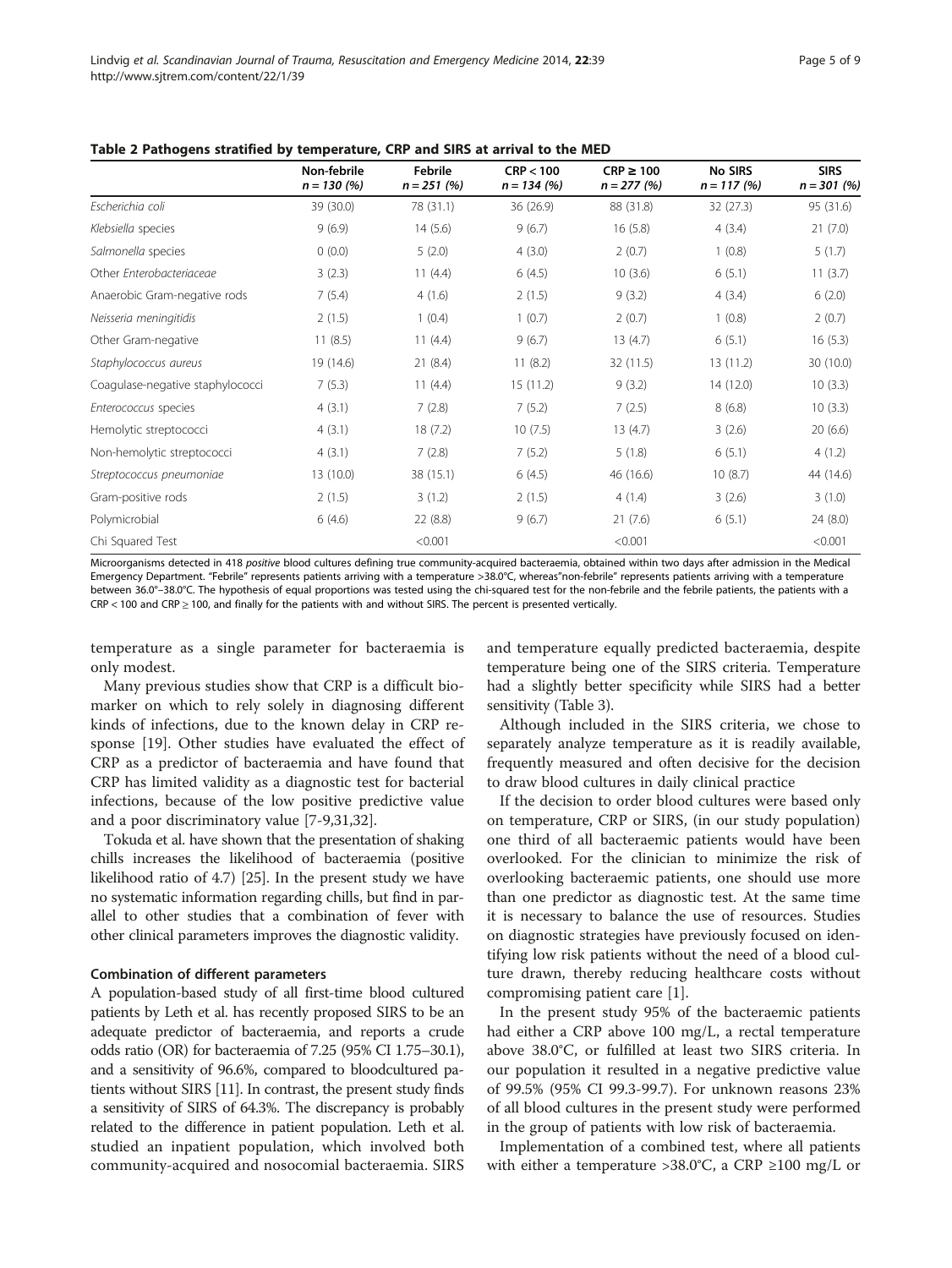|                                  | Non-febrile<br>$n = 130 (%)$ | Febrile<br>$n = 251(%)$ | CRP < 100<br>$n = 134(%)$ | $CRP \ge 100$<br>$n = 277(%)$ | No SIRS<br>$n = 117(96)$ | <b>SIRS</b><br>$n = 301(%)$ |
|----------------------------------|------------------------------|-------------------------|---------------------------|-------------------------------|--------------------------|-----------------------------|
| Escherichia coli                 | 39 (30.0)                    | 78 (31.1)               | 36 (26.9)                 | 88 (31.8)                     | 32(27.3)                 | 95 (31.6)                   |
| Klebsiella species               | 9(6.9)                       | 14(5.6)                 | 9(6.7)                    | 16(5.8)                       | 4(3.4)                   | 21(7.0)                     |
| Salmonella species               | 0(0.0)                       | 5(2.0)                  | 4(3.0)                    | 2(0.7)                        | 1(0.8)                   | 5(1.7)                      |
| Other Enterobacteriaceae         | 3(2.3)                       | 11 $(4.4)$              | 6(4.5)                    | 10(3.6)                       | 6(5.1)                   | 11(3.7)                     |
| Anaerobic Gram-negative rods     | 7(5.4)                       | 4(1.6)                  | 2(1.5)                    | 9(3.2)                        | 4(3.4)                   | 6(2.0)                      |
| Neisseria meningitidis           | 2(1.5)                       | 1(0.4)                  | 1(0.7)                    | 2(0.7)                        | 1(0.8)                   | 2(0.7)                      |
| Other Gram-negative              | 11(8.5)                      | 11 $(4.4)$              | 9(6.7)                    | 13(4.7)                       | 6(5.1)                   | 16(5.3)                     |
| Staphylococcus aureus            | 19 (14.6)                    | 21(8.4)                 | 11(8.2)                   | 32 (11.5)                     | 13 (11.2)                | 30 (10.0)                   |
| Coagulase-negative staphylococci | 7(5.3)                       | 11 $(4.4)$              | 15(11.2)                  | 9(3.2)                        | 14 (12.0)                | 10(3.3)                     |
| Enterococcus species             | 4(3.1)                       | 7(2.8)                  | 7(5.2)                    | 7(2.5)                        | 8(6.8)                   | 10(3.3)                     |
| Hemolytic streptococci           | 4(3.1)                       | 18(7.2)                 | 10(7.5)                   | 13(4.7)                       | 3(2.6)                   | 20(6.6)                     |
| Non-hemolytic streptococci       | 4(3.1)                       | 7(2.8)                  | 7(5.2)                    | 5(1.8)                        | 6(5.1)                   | 4(1.2)                      |
| Streptococcus pneumoniae         | 13(10.0)                     | 38 (15.1)               | 6(4.5)                    | 46 (16.6)                     | 10(8.7)                  | 44 (14.6)                   |
| Gram-positive rods               | 2(1.5)                       | 3(1.2)                  | 2(1.5)                    | 4(1.4)                        | 3(2.6)                   | 3(1.0)                      |
| Polymicrobial                    | 6(4.6)                       | 22 (8.8)                | 9(6.7)                    | 21(7.6)                       | 6(5.1)                   | 24 (8.0)                    |
| Chi Squared Test                 |                              | < 0.001                 |                           | < 0.001                       |                          | < 0.001                     |

<span id="page-4-0"></span>Table 2 Pathogens stratified by temperature, CRP and SIRS at arrival to the MED

Microorganisms detected in 418 positive blood cultures defining true community-acquired bacteraemia, obtained within two days after admission in the Medical Emergency Department. "Febrile" represents patients arriving with a temperature >38.0°C, whereas"non-febrile" represents patients arriving with a temperature between 36.0°–38.0°C. The hypothesis of equal proportions was tested using the chi-squared test for the non-febrile and the febrile patients, the patients with a  $CRP < 100$  and  $CRP \ge 100$ , and finally for the patients with and without SIRS. The percent is presented vertically.

temperature as a single parameter for bacteraemia is only modest.

Many previous studies show that CRP is a difficult biomarker on which to rely solely in diagnosing different kinds of infections, due to the known delay in CRP response [[19\]](#page-7-0). Other studies have evaluated the effect of CRP as a predictor of bacteraemia and have found that CRP has limited validity as a diagnostic test for bacterial infections, because of the low positive predictive value and a poor discriminatory value [\[7](#page-7-0)-[9,](#page-7-0)[31,32\]](#page-8-0).

Tokuda et al. have shown that the presentation of shaking chills increases the likelihood of bacteraemia (positive likelihood ratio of 4.7) [[25\]](#page-8-0). In the present study we have no systematic information regarding chills, but find in parallel to other studies that a combination of fever with other clinical parameters improves the diagnostic validity.

#### Combination of different parameters

A population-based study of all first-time blood cultured patients by Leth et al. has recently proposed SIRS to be an adequate predictor of bacteraemia, and reports a crude odds ratio (OR) for bacteraemia of 7.25 (95% CI 1.75–30.1), and a sensitivity of 96.6%, compared to bloodcultured patients without SIRS [[11](#page-7-0)]. In contrast, the present study finds a sensitivity of SIRS of 64.3%. The discrepancy is probably related to the difference in patient population. Leth et al. studied an inpatient population, which involved both community-acquired and nosocomial bacteraemia. SIRS and temperature equally predicted bacteraemia, despite temperature being one of the SIRS criteria. Temperature had a slightly better specificity while SIRS had a better sensitivity (Table [3](#page-5-0)).

Although included in the SIRS criteria, we chose to separately analyze temperature as it is readily available, frequently measured and often decisive for the decision to draw blood cultures in daily clinical practice

If the decision to order blood cultures were based only on temperature, CRP or SIRS, (in our study population) one third of all bacteraemic patients would have been overlooked. For the clinician to minimize the risk of overlooking bacteraemic patients, one should use more than one predictor as diagnostic test. At the same time it is necessary to balance the use of resources. Studies on diagnostic strategies have previously focused on identifying low risk patients without the need of a blood culture drawn, thereby reducing healthcare costs without compromising patient care [[1\]](#page-7-0).

In the present study 95% of the bacteraemic patients had either a CRP above 100 mg/L, a rectal temperature above 38.0°C, or fulfilled at least two SIRS criteria. In our population it resulted in a negative predictive value of 99.5% (95% CI 99.3-99.7). For unknown reasons 23% of all blood cultures in the present study were performed in the group of patients with low risk of bacteraemia.

Implementation of a combined test, where all patients with either a temperature > 38.0°C, a CRP  $\geq$  100 mg/L or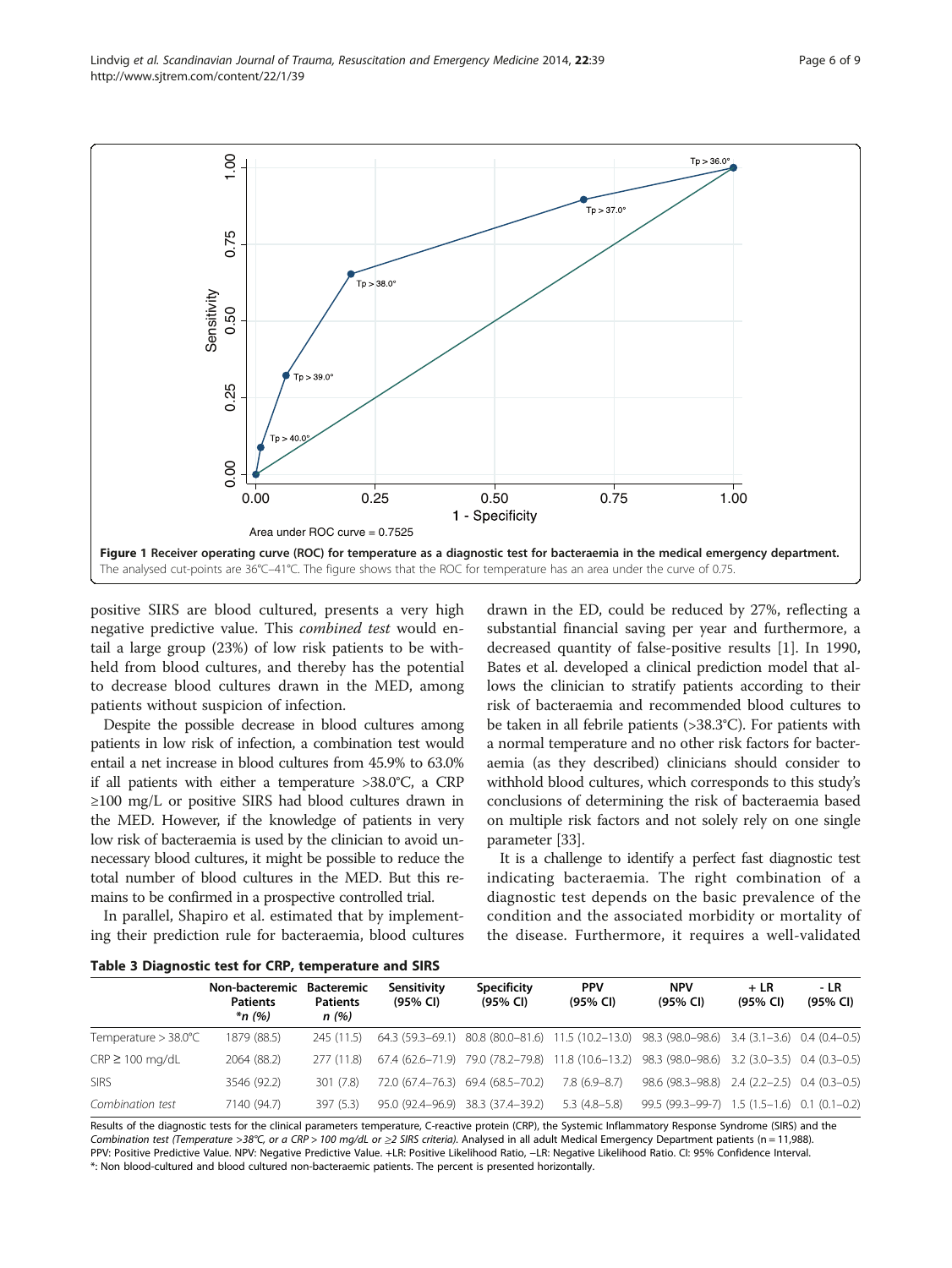<span id="page-5-0"></span>

positive SIRS are blood cultured, presents a very high negative predictive value. This combined test would entail a large group (23%) of low risk patients to be withheld from blood cultures, and thereby has the potential to decrease blood cultures drawn in the MED, among patients without suspicion of infection.

Despite the possible decrease in blood cultures among patients in low risk of infection, a combination test would entail a net increase in blood cultures from 45.9% to 63.0% if all patients with either a temperature >38.0°C, a CRP ≥100 mg/L or positive SIRS had blood cultures drawn in the MED. However, if the knowledge of patients in very low risk of bacteraemia is used by the clinician to avoid unnecessary blood cultures, it might be possible to reduce the total number of blood cultures in the MED. But this remains to be confirmed in a prospective controlled trial.

In parallel, Shapiro et al. estimated that by implementing their prediction rule for bacteraemia, blood cultures

drawn in the ED, could be reduced by 27%, reflecting a substantial financial saving per year and furthermore, a decreased quantity of false-positive results [[1\]](#page-7-0). In 1990, Bates et al. developed a clinical prediction model that allows the clinician to stratify patients according to their risk of bacteraemia and recommended blood cultures to be taken in all febrile patients (>38.3°C). For patients with a normal temperature and no other risk factors for bacteraemia (as they described) clinicians should consider to withhold blood cultures, which corresponds to this study's conclusions of determining the risk of bacteraemia based on multiple risk factors and not solely rely on one single parameter [\[33\]](#page-8-0).

It is a challenge to identify a perfect fast diagnostic test indicating bacteraemia. The right combination of a diagnostic test depends on the basic prevalence of the condition and the associated morbidity or mortality of the disease. Furthermore, it requires a well-validated

Table 3 Diagnostic test for CRP, temperature and SIRS

|                                   | Non-bacteremic<br><b>Patients</b><br>$*_{n}$ (%) | Bacteremic<br><b>Patients</b><br>n (%) | Sensitivity<br>(95% CI) | <b>Specificity</b><br>(95% CI)    | <b>PPV</b><br>(95% CI) | <b>NPV</b><br>(95% CI)                                                                          | $+LR$<br>(95% CI) | - LR<br>(95% CI) |  |
|-----------------------------------|--------------------------------------------------|----------------------------------------|-------------------------|-----------------------------------|------------------------|-------------------------------------------------------------------------------------------------|-------------------|------------------|--|
| Temperature $>$ 38.0 $^{\circ}$ C | 1879 (88.5)                                      | 245(11.5)                              |                         |                                   |                        | 64.3 (59.3–69.1) 80.8 (80.0–81.6) 11.5 (10.2–13.0) 98.3 (98.0–98.6) 3.4 (3.1–3.6) 0.4 (0.4–0.5) |                   |                  |  |
| $CRP \ge 100$ mg/dL               | 2064 (88.2)                                      | 277 (11.8)                             |                         |                                   |                        | 67.4 (62.6-71.9) 79.0 (78.2-79.8) 11.8 (10.6-13.2) 98.3 (98.0-98.6) 3.2 (3.0-3.5) 0.4 (0.3-0.5) |                   |                  |  |
| <b>SIRS</b>                       | 3546 (92.2)                                      | 301 (7.8)                              |                         | 72.0 (67.4–76.3) 69.4 (68.5–70.2) | 7.8 (6.9–8.7)          | $98.6(98.3-98.8)$ 2.4 (2.2-2.5) 0.4 (0.3-0.5)                                                   |                   |                  |  |
| Combination test                  | 7140 (94.7)                                      | 397(5.3)                               |                         | 95.0 (92.4-96.9) 38.3 (37.4-39.2) | $5.3(4.8-5.8)$         | 99.5 (99.3-99-7) 1.5 (1.5-1.6) 0.1 (0.1-0.2)                                                    |                   |                  |  |

Results of the diagnostic tests for the clinical parameters temperature, C-reactive protein (CRP), the Systemic Inflammatory Response Syndrome (SIRS) and the Combination test (Temperature >38°C, or a CRP > 100 mg/dL or  $\geq$  SIRS criteria). Analysed in all adult Medical Emergency Department patients (n = 11,988). PPV: Positive Predictive Value. NPV: Negative Predictive Value. +LR: Positive Likelihood Ratio, -LR: Negative Likelihood Ratio. CI: 95% Confidence Interval. \*: Non blood-cultured and blood cultured non-bacteraemic patients. The percent is presented horizontally.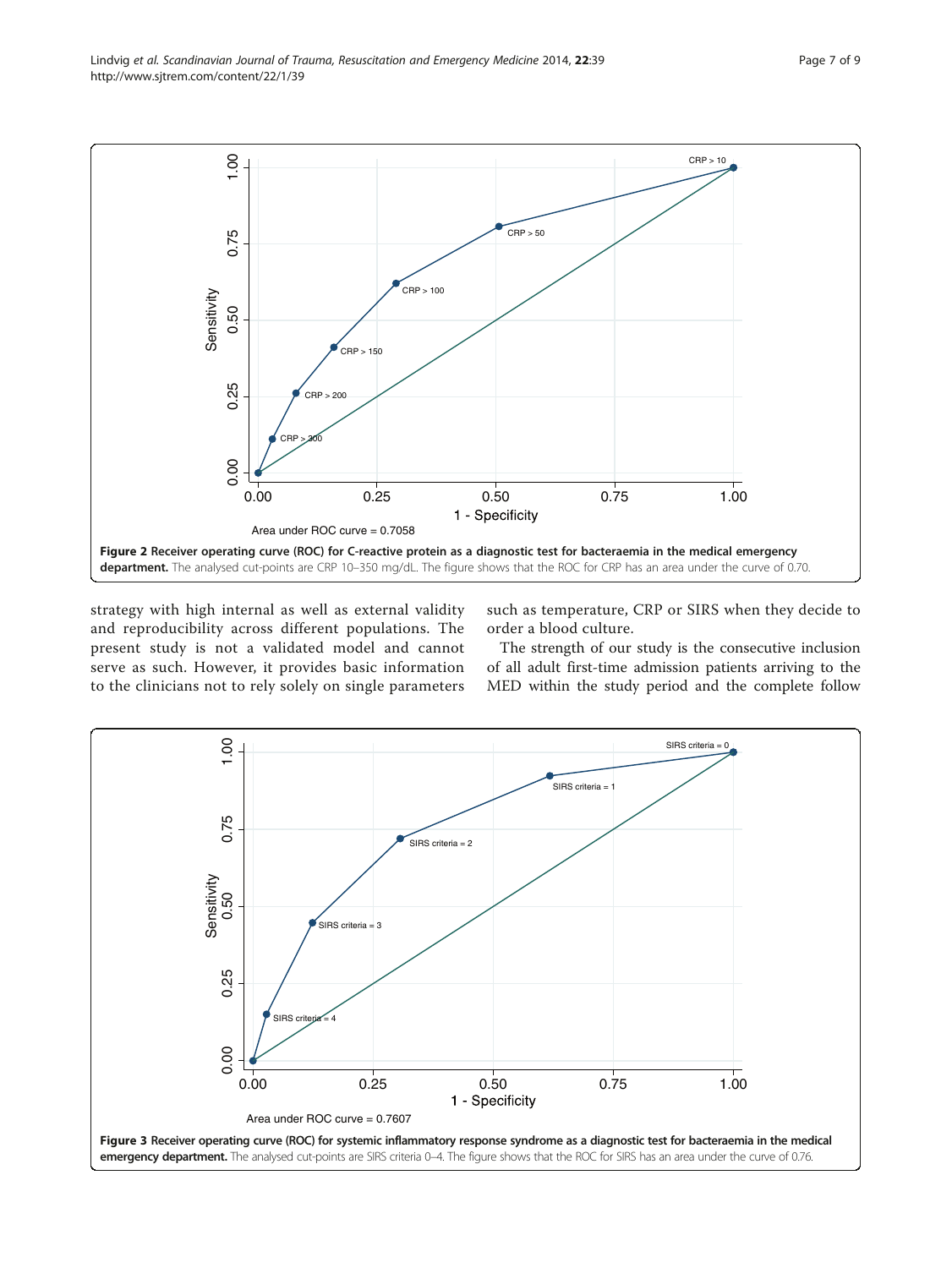<span id="page-6-0"></span>

strategy with high internal as well as external validity and reproducibility across different populations. The present study is not a validated model and cannot serve as such. However, it provides basic information to the clinicians not to rely solely on single parameters

such as temperature, CRP or SIRS when they decide to order a blood culture.

The strength of our study is the consecutive inclusion of all adult first-time admission patients arriving to the MED within the study period and the complete follow

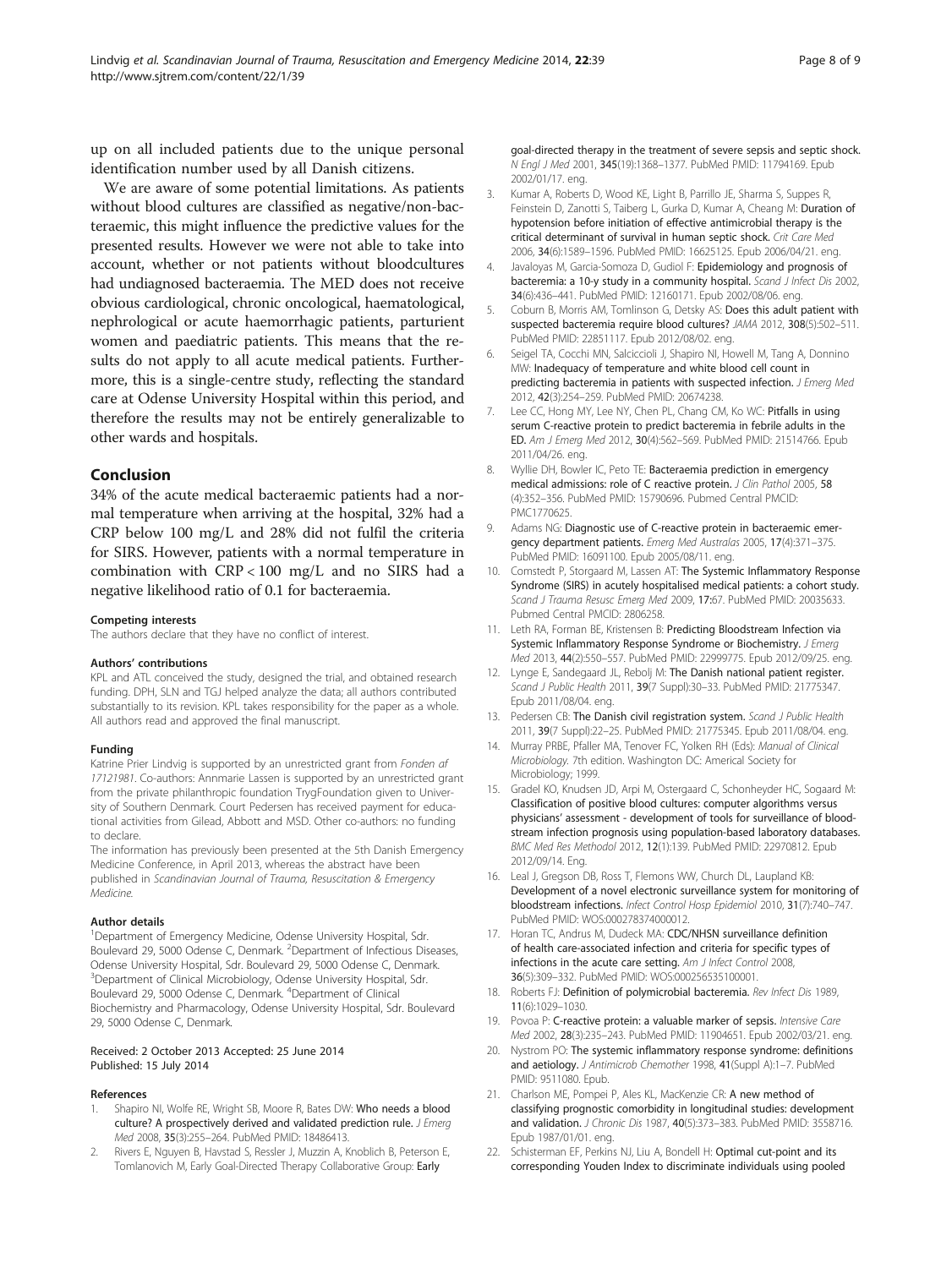<span id="page-7-0"></span>up on all included patients due to the unique personal identification number used by all Danish citizens.

We are aware of some potential limitations. As patients without blood cultures are classified as negative/non-bacteraemic, this might influence the predictive values for the presented results. However we were not able to take into account, whether or not patients without bloodcultures had undiagnosed bacteraemia. The MED does not receive obvious cardiological, chronic oncological, haematological, nephrological or acute haemorrhagic patients, parturient women and paediatric patients. This means that the results do not apply to all acute medical patients. Furthermore, this is a single-centre study, reflecting the standard care at Odense University Hospital within this period, and therefore the results may not be entirely generalizable to other wards and hospitals.

# Conclusion

34% of the acute medical bacteraemic patients had a normal temperature when arriving at the hospital, 32% had a CRP below 100 mg/L and 28% did not fulfil the criteria for SIRS. However, patients with a normal temperature in combination with CRP < 100 mg/L and no SIRS had a negative likelihood ratio of 0.1 for bacteraemia.

#### Competing interests

The authors declare that they have no conflict of interest.

#### Authors' contributions

KPL and ATL conceived the study, designed the trial, and obtained research funding. DPH, SLN and TGJ helped analyze the data; all authors contributed substantially to its revision. KPL takes responsibility for the paper as a whole. All authors read and approved the final manuscript.

#### Funding

Katrine Prier Lindvig is supported by an unrestricted grant from Fonden af 17121981. Co-authors: Annmarie Lassen is supported by an unrestricted grant from the private philanthropic foundation TrygFoundation given to University of Southern Denmark. Court Pedersen has received payment for educational activities from Gilead, Abbott and MSD. Other co-authors: no funding to declare.

The information has previously been presented at the 5th Danish Emergency Medicine Conference, in April 2013, whereas the abstract have been published in Scandinavian Journal of Trauma, Resuscitation & Emergency Medicine.

#### Author details

<sup>1</sup>Department of Emergency Medicine, Odense University Hospital, Sdr. Boulevard 29, 5000 Odense C, Denmark. <sup>2</sup>Department of Infectious Diseases, Odense University Hospital, Sdr. Boulevard 29, 5000 Odense C, Denmark. <sup>3</sup>Department of Clinical Microbiology, Odense University Hospital, Sdr. Boulevard 29, 5000 Odense C, Denmark. <sup>4</sup>Department of Clinical Biochemistry and Pharmacology, Odense University Hospital, Sdr. Boulevard 29, 5000 Odense C, Denmark.

#### Received: 2 October 2013 Accepted: 25 June 2014 Published: 15 July 2014

#### References

- Shapiro NI, Wolfe RE, Wright SB, Moore R, Bates DW: Who needs a blood culture? A prospectively derived and validated prediction rule. J Emerg Med 2008, 35(3):255–264. PubMed PMID: 18486413.
- 2. Rivers E, Nguyen B, Havstad S, Ressler J, Muzzin A, Knoblich B, Peterson E, Tomlanovich M, Early Goal-Directed Therapy Collaborative Group: Early

goal-directed therapy in the treatment of severe sepsis and septic shock. N Engl J Med 2001, 345(19):1368–1377. PubMed PMID: 11794169. Epub 2002/01/17. eng.

- 3. Kumar A, Roberts D, Wood KE, Light B, Parrillo JE, Sharma S, Suppes R, Feinstein D, Zanotti S, Taiberg L, Gurka D, Kumar A, Cheang M: Duration of hypotension before initiation of effective antimicrobial therapy is the critical determinant of survival in human septic shock. Crit Care Med 2006, 34(6):1589–1596. PubMed PMID: 16625125. Epub 2006/04/21. eng.
- 4. Javaloyas M, Garcia-Somoza D, Gudiol F: Epidemiology and prognosis of bacteremia: a 10-y study in a community hospital. Scand J Infect Dis 2002, 34(6):436–441. PubMed PMID: 12160171. Epub 2002/08/06. eng.
- 5. Coburn B, Morris AM, Tomlinson G, Detsky AS: Does this adult patient with suspected bacteremia require blood cultures? JAMA 2012, 308(5):502–511. PubMed PMID: 22851117. Epub 2012/08/02. eng.
- 6. Seigel TA, Cocchi MN, Salciccioli J, Shapiro NI, Howell M, Tang A, Donnino MW: Inadequacy of temperature and white blood cell count in predicting bacteremia in patients with suspected infection. J Emerg Med 2012, 42(3):254–259. PubMed PMID: 20674238.
- 7. Lee CC, Hong MY, Lee NY, Chen PL, Chang CM, Ko WC: Pitfalls in using serum C-reactive protein to predict bacteremia in febrile adults in the ED. Am J Emerg Med 2012, 30(4):562–569. PubMed PMID: 21514766. Epub 2011/04/26. eng.
- 8. Wyllie DH, Bowler IC, Peto TE: Bacteraemia prediction in emergency medical admissions: role of C reactive protein. J Clin Pathol 2005, 58 (4):352–356. PubMed PMID: 15790696. Pubmed Central PMCID: PMC1770625.
- 9. Adams NG: Diagnostic use of C-reactive protein in bacteraemic emergency department patients. Emerg Med Australas 2005, 17(4):371–375. PubMed PMID: 16091100. Epub 2005/08/11. eng.
- 10. Comstedt P, Storgaard M, Lassen AT: The Systemic Inflammatory Response Syndrome (SIRS) in acutely hospitalised medical patients: a cohort study. Scand J Trauma Resusc Emerg Med 2009, 17:67. PubMed PMID: 20035633. Pubmed Central PMCID: 2806258.
- 11. Leth RA, Forman BE, Kristensen B: Predicting Bloodstream Infection via Systemic Inflammatory Response Syndrome or Biochemistry. J Emerg Med 2013, 44(2):550–557. PubMed PMID: 22999775. Epub 2012/09/25. eng.
- 12. Lynge E, Sandegaard JL, Rebolj M: The Danish national patient register. Scand J Public Health 2011, 39(7 Suppl):30–33. PubMed PMID: 21775347. Epub 2011/08/04. eng.
- 13. Pedersen CB: The Danish civil registration system. Scand J Public Health 2011, 39(7 Suppl):22–25. PubMed PMID: 21775345. Epub 2011/08/04. eng.
- 14. Murray PRBE, Pfaller MA, Tenover FC, Yolken RH (Eds): Manual of Clinical Microbiology. 7th edition. Washington DC: Americal Society for Microbiology; 1999.
- 15. Gradel KO, Knudsen JD, Arpi M, Ostergaard C, Schonheyder HC, Sogaard M: Classification of positive blood cultures: computer algorithms versus physicians' assessment - development of tools for surveillance of bloodstream infection prognosis using population-based laboratory databases. BMC Med Res Methodol 2012, 12(1):139. PubMed PMID: 22970812. Epub 2012/09/14. Eng.
- 16. Leal J, Gregson DB, Ross T, Flemons WW, Church DL, Laupland KB: Development of a novel electronic surveillance system for monitoring of bloodstream infections. Infect Control Hosp Epidemiol 2010, 31(7):740–747. PubMed PMID: WOS:000278374000012.
- 17. Horan TC, Andrus M, Dudeck MA: CDC/NHSN surveillance definition of health care-associated infection and criteria for specific types of infections in the acute care setting. Am J Infect Control 2008, 36(5):309–332. PubMed PMID: WOS:000256535100001.
- 18. Roberts FJ: Definition of polymicrobial bacteremia. Rev Infect Dis 1989, 11(6):1029–1030.
- 19. Povoa P: C-reactive protein: a valuable marker of sepsis. Intensive Care Med 2002, 28(3):235–243. PubMed PMID: 11904651. Epub 2002/03/21. eng.
- 20. Nystrom PO: The systemic inflammatory response syndrome: definitions and aetiology. J Antimicrob Chemother 1998, 41(Suppl A):1-7. PubMed PMID: 9511080. Epub.
- 21. Charlson ME, Pompei P, Ales KL, MacKenzie CR: A new method of classifying prognostic comorbidity in longitudinal studies: development and validation. J Chronic Dis 1987, 40(5):373-383. PubMed PMID: 3558716. Epub 1987/01/01. eng.
- 22. Schisterman EF, Perkins NJ, Liu A, Bondell H: Optimal cut-point and its corresponding Youden Index to discriminate individuals using pooled